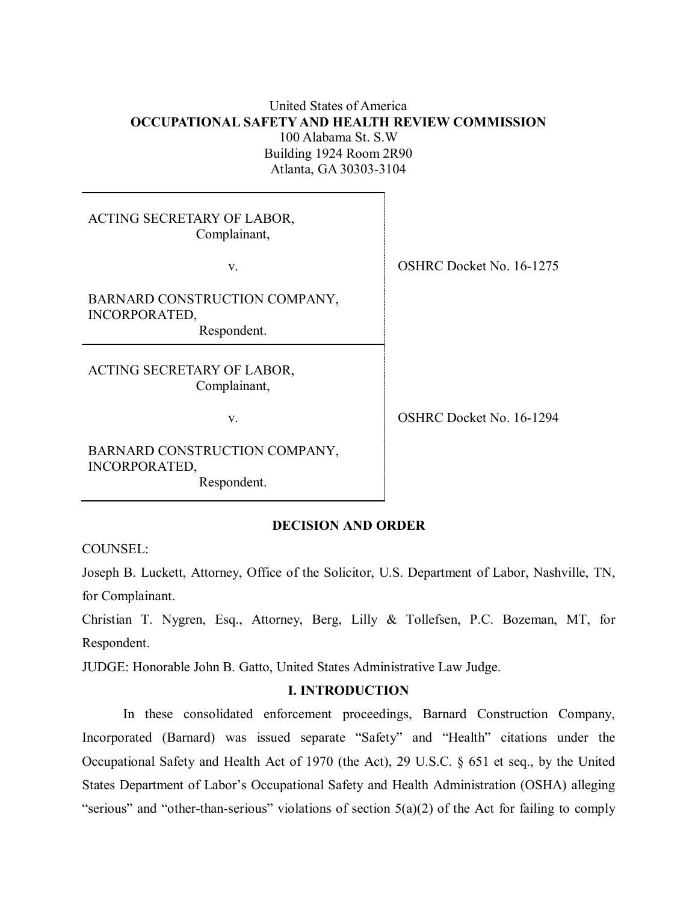# United States of America **OCCUPATIONAL SAFETY AND HEALTH REVIEW COMMISSION** 100 Alabama St. S.W Building 1924 Room 2R90 Atlanta, GA 30303-3104

| ACTING SECRETARY OF LABOR,<br>Complainant,                           |                          |
|----------------------------------------------------------------------|--------------------------|
| V.                                                                   | OSHRC Docket No. 16-1275 |
| BARNARD CONSTRUCTION COMPANY,<br><b>INCORPORATED,</b><br>Respondent. |                          |
| ACTING SECRETARY OF LABOR,<br>Complainant,                           |                          |
| V.                                                                   | OSHRC Docket No. 16-1294 |
| BARNARD CONSTRUCTION COMPANY,                                        |                          |

# **DECISION AND ORDER**

COUNSEL:

INCORPORATED,

Respondent.

Joseph B. Luckett, Attorney, Office of the Solicitor, U.S. Department of Labor, Nashville, TN, for Complainant.

Christian T. Nygren, Esq., Attorney, Berg, Lilly & Tollefsen, P.C. Bozeman, MT, for Respondent.

JUDGE: Honorable John B. Gatto, United States Administrative Law Judge.

## **I. INTRODUCTION**

In these consolidated enforcement proceedings, Barnard Construction Company, Incorporated (Barnard) was issued separate "Safety" and "Health" citations under the Occupational Safety and Health Act of 1970 (the Act), 29 U.S.C. § 651 et seq., by the United States Department of Labor's Occupational Safety and Health Administration (OSHA) alleging "serious" and "other-than-serious" violations of section  $5(a)(2)$  of the Act for failing to comply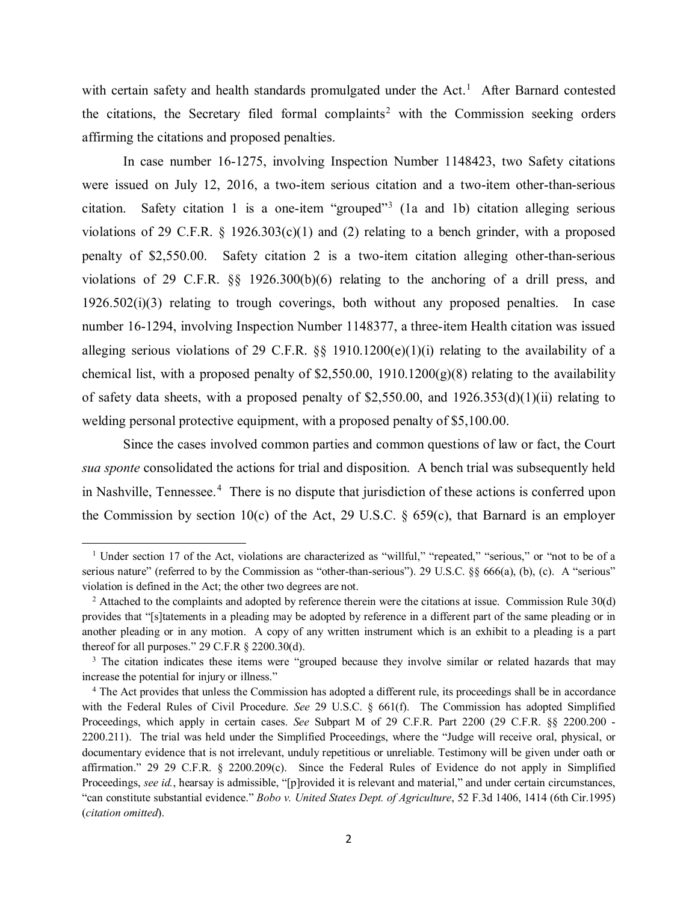with certain safety and health standards promulgated under the Act.<sup>[1](#page-1-0)</sup> After Barnard contested the citations, the Secretary filed formal complaints<sup>[2](#page-1-1)</sup> with the Commission seeking orders affirming the citations and proposed penalties.

In case number 16-1275, involving Inspection Number 1148423, two Safety citations were issued on July 12, 2016, a two-item serious citation and a two-item other-than-serious citation. Safety citation 1 is a one-item "grouped"<sup>[3](#page-1-2)</sup> (1a and 1b) citation alleging serious violations of 29 C.F.R.  $\S$  1926.303(c)(1) and (2) relating to a bench grinder, with a proposed penalty of \$2,550.00. Safety citation 2 is a two-item citation alleging other-than-serious violations of 29 C.F.R. §§ 1926.300(b)(6) relating to the anchoring of a drill press, and 1926.502(i)(3) relating to trough coverings, both without any proposed penalties. In case number 16-1294, involving Inspection Number 1148377, a three-item Health citation was issued alleging serious violations of 29 C.F.R. §§ 1910.1200(e)(1)(i) relating to the availability of a chemical list, with a proposed penalty of  $$2,550.00, 1910.1200(g)(8)$  relating to the availability of safety data sheets, with a proposed penalty of \$2,550.00, and  $1926.353(d)(1)(ii)$  relating to welding personal protective equipment, with a proposed penalty of \$5,100.00.

 Since the cases involved common parties and common questions of law or fact, the Court *sua sponte* consolidated the actions for trial and disposition. A bench trial was subsequently held in Nashville, Tennessee. [4](#page-1-3) There is no dispute that jurisdiction of these actions is conferred upon the Commission by section 10(c) of the Act, 29 U.S.C.  $\S$  659(c), that Barnard is an employer

<span id="page-1-0"></span><sup>&</sup>lt;sup>1</sup> Under section 17 of the Act, violations are characterized as "willful," "repeated," "serious," or "not to be of a serious nature" (referred to by the Commission as "other-than-serious"). 29 U.S.C. §§ 666(a), (b), (c). A "serious" violation is defined in the Act; the other two degrees are not.<br><sup>2</sup> Attached to the complaints and adopted by reference therein were the citations at issue. Commission Rule 30(d)

<span id="page-1-1"></span>provides that "[s]tatements in a pleading may be adopted by reference in a different part of the same pleading or in another pleading or in any motion. A copy of any written instrument which is an exhibit to a pleading is a part thereof for all purposes."  $29$  C.F.R  $\S$  2200.30(d).

<span id="page-1-2"></span><sup>&</sup>lt;sup>3</sup> The citation indicates these items were "grouped because they involve similar or related hazards that may increase the potential for injury or illness."

<span id="page-1-3"></span><sup>&</sup>lt;sup>4</sup> The Act provides that unless the Commission has adopted a different rule, its proceedings shall be in accordance with the Federal Rules of Civil Procedure. *See* 29 U.S.C. § 661(f). The Commission has adopted Simplified Proceedings, which apply in certain cases. *See* Subpart M of 29 C.F.R. Part 2200 (29 C.F.R. §§ 2200.200 - 2200.211). The trial was held under the Simplified Proceedings, where the "Judge will receive oral, physical, or documentary evidence that is not irrelevant, unduly repetitious or unreliable. Testimony will be given under oath or affirmation." 29 29 C.F.R. § 2200.209(c). Since the Federal Rules of Evidence do not apply in Simplified Proceedings, *see id.*, hearsay is admissible, "[p]rovided it is relevant and material," and under certain circumstances, "can constitute substantial evidence." *Bobo v. United States Dept. of Agriculture*, 52 F.3d 1406, 1414 (6th Cir.1995) (*citation omitted*).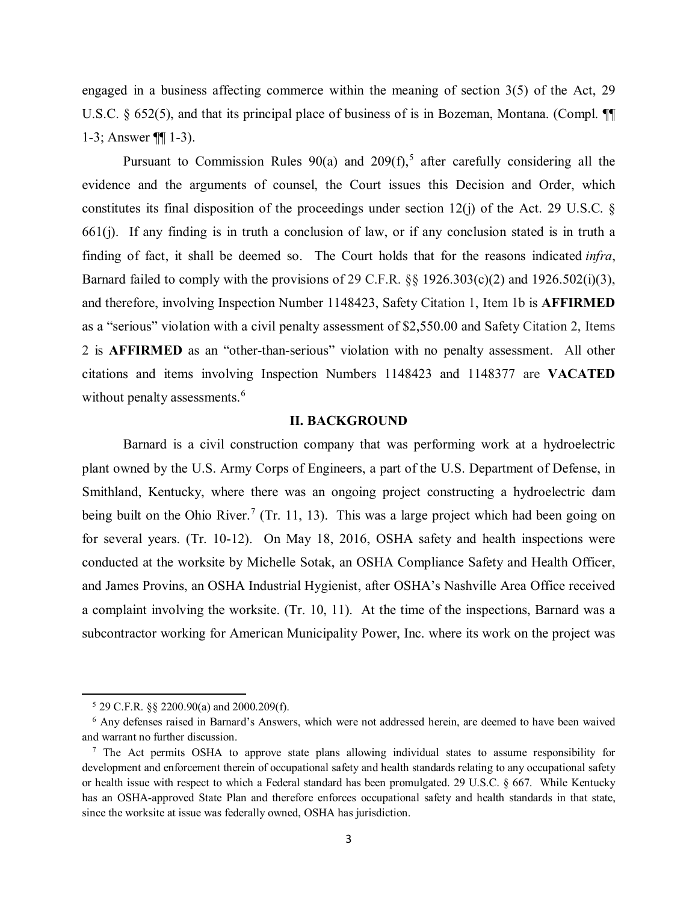engaged in a business affecting commerce within the meaning of section 3(5) of the Act, 29 U.S.C. § 652(5), and that its principal place of business of is in Bozeman, Montana. (Compl. ¶ 1-3; Answer ¶¶ 1-3).

Pursuant to Commission Rules  $90(a)$  and  $209(f)$ ,<sup>[5](#page-2-0)</sup> after carefully considering all the evidence and the arguments of counsel, the Court issues this Decision and Order, which constitutes its final disposition of the proceedings under section  $12(i)$  of the Act. 29 U.S.C. § 661(j). If any finding is in truth a conclusion of law, or if any conclusion stated is in truth a finding of fact, it shall be deemed so. The Court holds that for the reasons indicated *infra*, Barnard failed to comply with the provisions of 29 C.F.R.  $\S$  1926.303(c)(2) and 1926.502(i)(3), and therefore, involving Inspection Number 1148423, Safety Citation 1, Item 1b is **AFFIRMED** as a "serious" violation with a civil penalty assessment of \$2,550.00 and Safety Citation 2, Items 2 is **AFFIRMED** as an "other-than-serious" violation with no penalty assessment. All other citations and items involving Inspection Numbers 1148423 and 1148377 are **VACATED** without penalty assessments.<sup>[6](#page-2-1)</sup>

### **II. BACKGROUND**

Barnard is a civil construction company that was performing work at a hydroelectric plant owned by the U.S. Army Corps of Engineers, a part of the U.S. Department of Defense, in Smithland, Kentucky, where there was an ongoing project constructing a hydroelectric dam being built on the Ohio River.<sup>[7](#page-2-2)</sup> (Tr. 11, 13). This was a large project which had been going on for several years. (Tr. 10-12). On May 18, 2016, OSHA safety and health inspections were conducted at the worksite by Michelle Sotak, an OSHA Compliance Safety and Health Officer, and James Provins, an OSHA Industrial Hygienist, after OSHA's Nashville Area Office received a complaint involving the worksite. (Tr. 10, 11). At the time of the inspections, Barnard was a subcontractor working for American Municipality Power, Inc. where its work on the project was

 $5$  29 C.F.R.  $\S$  2200.90(a) and 2000.209(f).

<span id="page-2-1"></span><span id="page-2-0"></span><sup>6</sup> Any defenses raised in Barnard's Answers, which were not addressed herein, are deemed to have been waived and warrant no further discussion.

<span id="page-2-2"></span><sup>7</sup> The Act permits OSHA to approve state plans allowing individual states to assume responsibility for development and enforcement therein of occupational safety and health standards relating to any occupational safety or health issue with respect to which a Federal standard has been promulgated. 29 U.S.C. § 667. While Kentucky has an OSHA-approved State Plan and therefore enforces occupational safety and health standards in that state, since the worksite at issue was federally owned, OSHA has jurisdiction.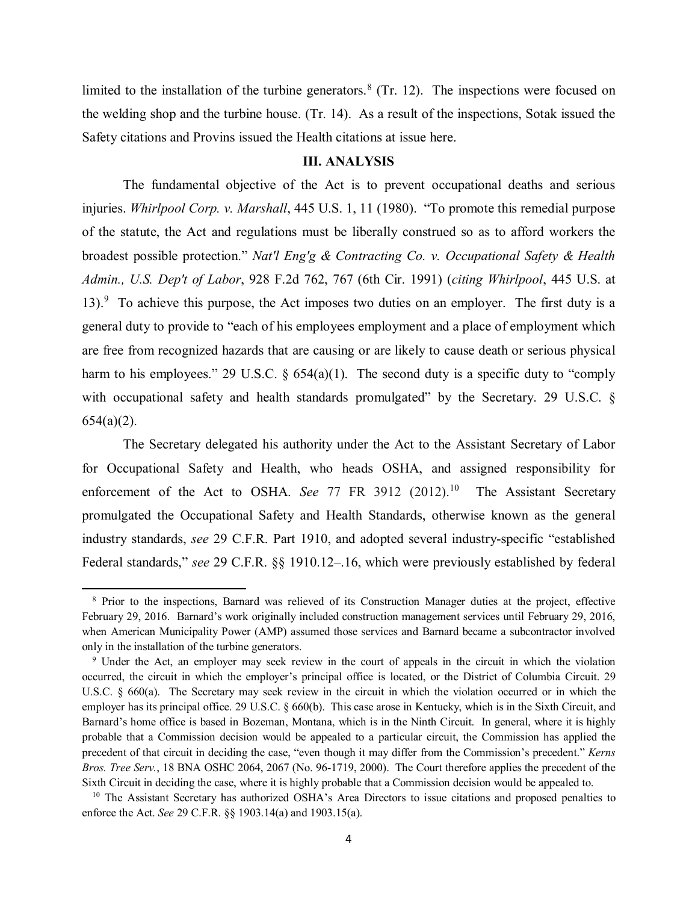limited to the installation of the turbine generators.<sup>[8](#page-3-0)</sup> (Tr. 12). The inspections were focused on the welding shop and the turbine house. (Tr. 14). As a result of the inspections, Sotak issued the Safety citations and Provins issued the Health citations at issue here.

#### **III. ANALYSIS**

The fundamental objective of the Act is to prevent occupational deaths and serious injuries. *Whirlpool Corp. v. Marshall*, 445 U.S. 1, 11 (1980). "To promote this remedial purpose of the statute, the Act and regulations must be liberally construed so as to afford workers the broadest possible protection." *Nat'l Eng'g & Contracting Co. v. Occupational Safety & Health Admin., U.S. Dep't of Labor*, 928 F.2d 762, 767 (6th Cir. 1991) (*citing Whirlpool*, 445 U.S. at 13).<sup>[9](#page-3-1)</sup> To achieve this purpose, the Act imposes two duties on an employer. The first duty is a general duty to provide to "each of his employees employment and a place of employment which are free from recognized hazards that are causing or are likely to cause death or serious physical harm to his employees." 29 U.S.C.  $\S$  654(a)(1). The second duty is a specific duty to "comply with occupational safety and health standards promulgated" by the Secretary. 29 U.S.C. §  $654(a)(2)$ .

The Secretary delegated his authority under the Act to the Assistant Secretary of Labor for Occupational Safety and Health, who heads OSHA, and assigned responsibility for enforcement of the Act to OSHA. See 77 FR 3912 (2012).<sup>10</sup> The Assistant Secretary promulgated the Occupational Safety and Health Standards, otherwise known as the general industry standards, *see* 29 C.F.R. Part 1910, and adopted several industry-specific "established Federal standards," *see* 29 C.F.R. §§ 1910.12–.16, which were previously established by federal

<span id="page-3-0"></span><sup>8</sup> Prior to the inspections, Barnard was relieved of its Construction Manager duties at the project, effective February 29, 2016. Barnard's work originally included construction management services until February 29, 2016, when American Municipality Power (AMP) assumed those services and Barnard became a subcontractor involved only in the installation of the turbine generators.

<span id="page-3-1"></span><sup>9</sup> Under the Act, an employer may seek review in the court of appeals in the circuit in which the violation occurred, the circuit in which the employer's principal office is located, or the District of Columbia Circuit. 29 U.S.C. § 660(a). The Secretary may seek review in the circuit in which the violation occurred or in which the employer has its principal office. 29 U.S.C. § 660(b). This case arose in Kentucky, which is in the Sixth Circuit, and Barnard's home office is based in Bozeman, Montana, which is in the Ninth Circuit. In general, where it is highly probable that a Commission decision would be appealed to a particular circuit, the Commission has applied the precedent of that circuit in deciding the case, "even though it may differ from the Commission's precedent." *Kerns Bros. Tree Serv.*, 18 BNA OSHC 2064, 2067 (No. 96-1719, 2000). The Court therefore applies the precedent of the Sixth Circuit in deciding the case, where it is highly probable that a Commission decision would be appealed to.

<span id="page-3-2"></span><sup>&</sup>lt;sup>10</sup> The Assistant Secretary has authorized OSHA's Area Directors to issue citations and proposed penalties to enforce the Act. *See* 29 C.F.R. §§ 1903.14(a) and 1903.15(a).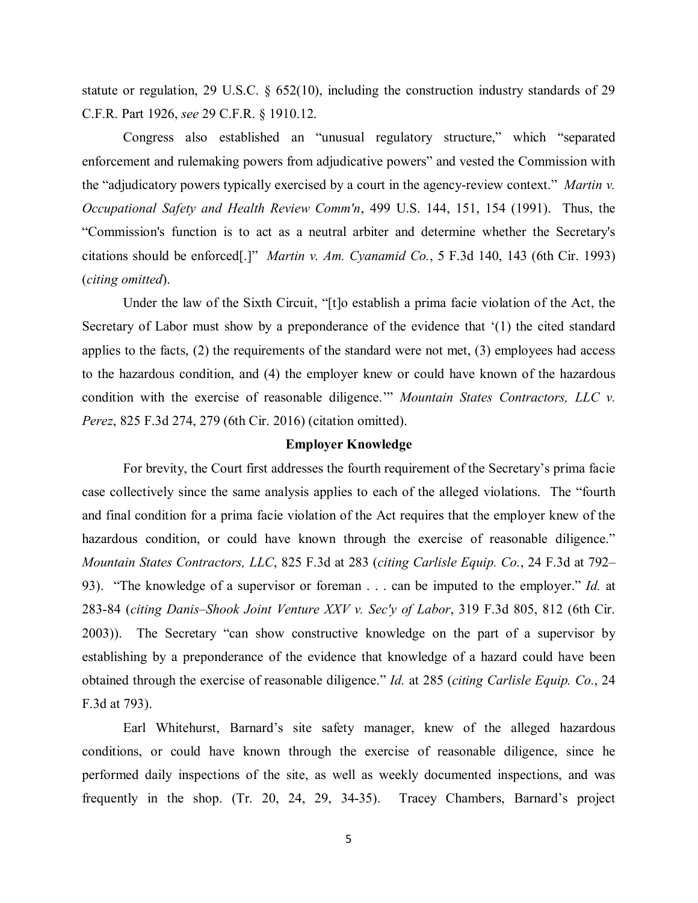statute or regulation, 29 U.S.C. § 652(10), including the construction industry standards of 29 C.F.R. Part 1926, *see* 29 C.F.R. § 1910.12.

Congress also established an "unusual regulatory structure," which "separated enforcement and rulemaking powers from adjudicative powers" and vested the Commission with the "adjudicatory powers typically exercised by a court in the agency-review context." *Martin v. Occupational Safety and Health Review Comm'n*, 499 U.S. 144, 151, 154 (1991). Thus, the "Commission's function is to act as a neutral arbiter and determine whether the Secretary's citations should be enforced[.]" *Martin v. Am. Cyanamid Co.*, 5 F.3d 140, 143 (6th Cir. 1993) (*citing omitted*).

Under the law of the Sixth Circuit, "[t]o establish a prima facie violation of the Act, the Secretary of Labor must show by a preponderance of the evidence that '(1) the cited standard applies to the facts, (2) the requirements of the standard were not met, (3) employees had access to the hazardous condition, and (4) the employer knew or could have known of the hazardous condition with the exercise of reasonable diligence.'" *Mountain States Contractors, LLC v. Perez*, 825 F.3d 274, 279 (6th Cir. 2016) (citation omitted).

## **Employer Knowledge**

For brevity, the Court first addresses the fourth requirement of the Secretary's prima facie case collectively since the same analysis applies to each of the alleged violations. The "fourth and final condition for a prima facie violation of the Act requires that the employer knew of the hazardous condition, or could have known through the exercise of reasonable diligence." *Mountain States Contractors, LLC*, 825 F.3d at 283 (*citing Carlisle Equip. Co.*, 24 F.3d at 792– 93). "The knowledge of a supervisor or foreman . . . can be imputed to the employer." *Id.* at 283-84 (*citing Danis–Shook Joint Venture XXV v. Sec'y of Labor*, 319 F.3d 805, 812 (6th Cir. 2003)). The Secretary "can show constructive knowledge on the part of a supervisor by establishing by a preponderance of the evidence that knowledge of a hazard could have been obtained through the exercise of reasonable diligence." *Id.* at 285 (*citing Carlisle Equip. Co.*, 24 F.3d at 793).

Earl Whitehurst, Barnard's site safety manager, knew of the alleged hazardous conditions, or could have known through the exercise of reasonable diligence, since he performed daily inspections of the site, as well as weekly documented inspections, and was frequently in the shop. (Tr. 20, 24, 29, 34-35). Tracey Chambers, Barnard's project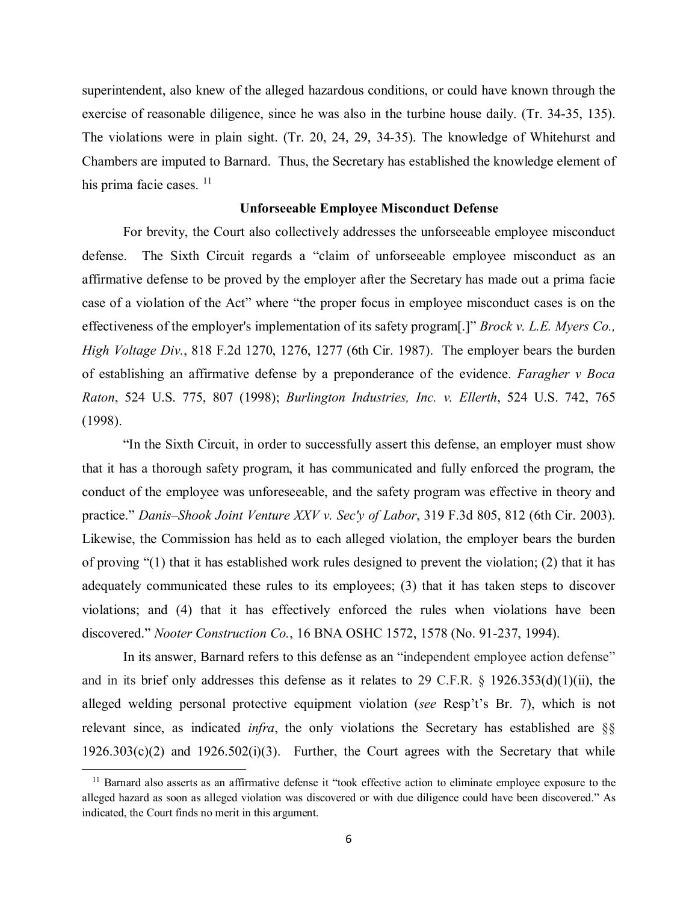superintendent, also knew of the alleged hazardous conditions, or could have known through the exercise of reasonable diligence, since he was also in the turbine house daily. (Tr. 34-35, 135). The violations were in plain sight. (Tr. 20, 24, 29, 34-35). The knowledge of Whitehurst and Chambers are imputed to Barnard. Thus, the Secretary has established the knowledge element of his prima facie cases. <sup>[11](#page-5-0)</sup>

### **Unforseeable Employee Misconduct Defense**

For brevity, the Court also collectively addresses the unforseeable employee misconduct defense. The Sixth Circuit regards a "claim of unforseeable employee misconduct as an affirmative defense to be proved by the employer after the Secretary has made out a prima facie case of a violation of the Act" where "the proper focus in employee misconduct cases is on the effectiveness of the employer's implementation of its safety program[.]" *Brock v. L.E. Myers Co., High Voltage Div.*, 818 F.2d 1270, 1276, 1277 (6th Cir. 1987). The employer bears the burden of establishing an affirmative defense by a preponderance of the evidence. *Faragher v Boca Raton*, 524 U.S. 775, 807 (1998); *Burlington Industries, Inc. v. Ellerth*, 524 U.S. 742, 765 (1998).

"In the Sixth Circuit, in order to successfully assert this defense, an employer must show that it has a thorough safety program, it has communicated and fully enforced the program, the conduct of the employee was unforeseeable, and the safety program was effective in theory and practice." *Danis–Shook Joint Venture XXV v. Sec'y of Labor*, 319 F.3d 805, 812 (6th Cir. 2003). Likewise, the Commission has held as to each alleged violation, the employer bears the burden of proving "(1) that it has established work rules designed to prevent the violation; (2) that it has adequately communicated these rules to its employees; (3) that it has taken steps to discover violations; and (4) that it has effectively enforced the rules when violations have been discovered." *Nooter Construction Co.*, 16 BNA OSHC 1572, 1578 (No. 91-237, 1994).

In its answer, Barnard refers to this defense as an "independent employee action defense" and in its brief only addresses this defense as it relates to 29 C.F.R. § 1926.353(d)(1)(ii), the alleged welding personal protective equipment violation (*see* Resp't's Br. 7), which is not relevant since, as indicated *infra*, the only violations the Secretary has established are §§  $1926.303(c)(2)$  and  $1926.502(i)(3)$ . Further, the Court agrees with the Secretary that while

<span id="page-5-0"></span><sup>&</sup>lt;sup>11</sup> Barnard also asserts as an affirmative defense it "took effective action to eliminate employee exposure to the alleged hazard as soon as alleged violation was discovered or with due diligence could have been discovered." As indicated, the Court finds no merit in this argument.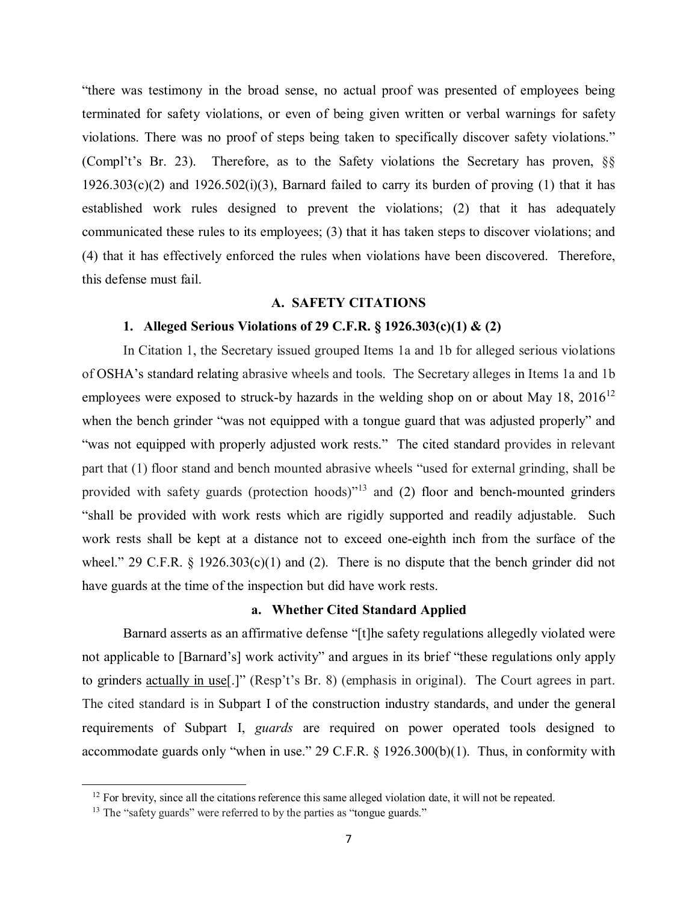"there was testimony in the broad sense, no actual proof was presented of employees being terminated for safety violations, or even of being given written or verbal warnings for safety violations. There was no proof of steps being taken to specifically discover safety violations." (Compl't's Br. 23). Therefore, as to the Safety violations the Secretary has proven, §§  $1926.303(c)(2)$  and  $1926.502(i)(3)$ , Barnard failed to carry its burden of proving (1) that it has established work rules designed to prevent the violations; (2) that it has adequately communicated these rules to its employees; (3) that it has taken steps to discover violations; and (4) that it has effectively enforced the rules when violations have been discovered. Therefore, this defense must fail.

### **A. SAFETY CITATIONS**

# **1. Alleged Serious Violations of 29 C.F.R. § 1926.303(c)(1) & (2)**

In Citation 1, the Secretary issued grouped Items 1a and 1b for alleged serious violations of OSHA's standard relating abrasive wheels and tools. The Secretary alleges in Items 1a and 1b employees were exposed to struck-by hazards in the welding shop on or about May 18, 2016<sup>[12](#page-6-0)</sup> when the bench grinder "was not equipped with a tongue guard that was adjusted properly" and "was not equipped with properly adjusted work rests." The cited standard provides in relevant part that (1) floor stand and bench mounted abrasive wheels "used for external grinding, shall be provided with safety guards (protection hoods)<sup> $13$ </sup> and (2) floor and bench-mounted grinders "shall be provided with work rests which are rigidly supported and readily adjustable. Such work rests shall be kept at a distance not to exceed one-eighth inch from the surface of the wheel." 29 C.F.R. § 1926.303(c)(1) and (2). There is no dispute that the bench grinder did not have guards at the time of the inspection but did have work rests.

### **a. Whether Cited Standard Applied**

Barnard asserts as an affirmative defense "[t]he safety regulations allegedly violated were not applicable to [Barnard's] work activity" and argues in its brief "these regulations only apply to grinders actually in use[.]" (Resp't's Br. 8) (emphasis in original). The Court agrees in part. The cited standard is in Subpart I of the construction industry standards, and under the general requirements of Subpart I, *guards* are required on power operated tools designed to accommodate guards only "when in use." 29 C.F.R. § 1926.300(b)(1). Thus, in conformity with

<span id="page-6-0"></span> $12$  For brevity, since all the citations reference this same alleged violation date, it will not be repeated.

<span id="page-6-1"></span> $13$  The "safety guards" were referred to by the parties as "tongue guards."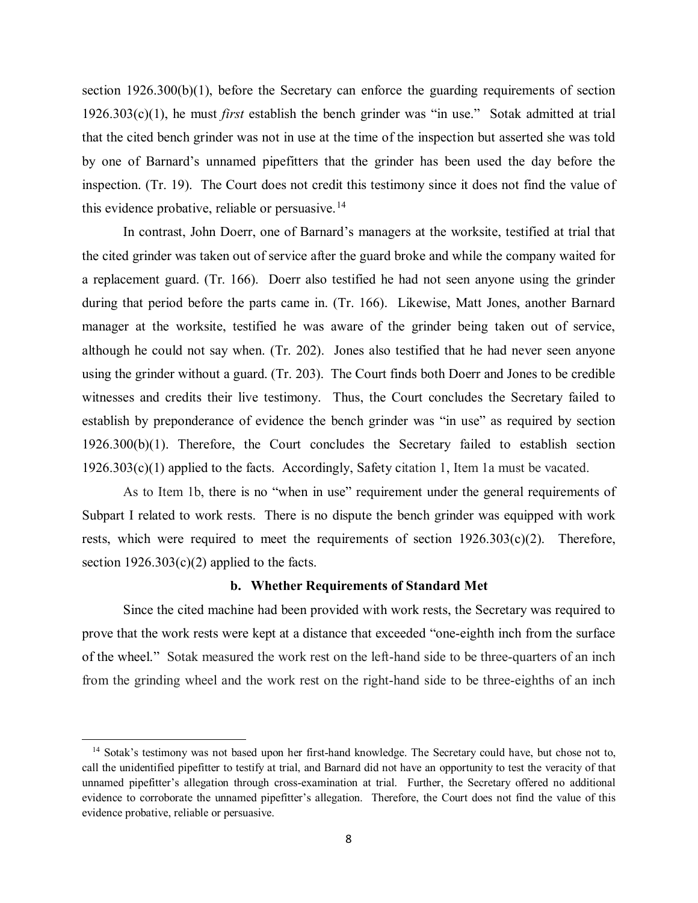section 1926.300(b)(1), before the Secretary can enforce the guarding requirements of section 1926.303(c)(1), he must *first* establish the bench grinder was "in use." Sotak admitted at trial that the cited bench grinder was not in use at the time of the inspection but asserted she was told by one of Barnard's unnamed pipefitters that the grinder has been used the day before the inspection. (Tr. 19). The Court does not credit this testimony since it does not find the value of this evidence probative, reliable or persuasive.<sup>[14](#page-7-0)</sup>

In contrast, John Doerr, one of Barnard's managers at the worksite, testified at trial that the cited grinder was taken out of service after the guard broke and while the company waited for a replacement guard. (Tr. 166). Doerr also testified he had not seen anyone using the grinder during that period before the parts came in. (Tr. 166). Likewise, Matt Jones, another Barnard manager at the worksite, testified he was aware of the grinder being taken out of service, although he could not say when. (Tr. 202). Jones also testified that he had never seen anyone using the grinder without a guard. (Tr. 203). The Court finds both Doerr and Jones to be credible witnesses and credits their live testimony. Thus, the Court concludes the Secretary failed to establish by preponderance of evidence the bench grinder was "in use" as required by section 1926.300(b)(1). Therefore, the Court concludes the Secretary failed to establish section 1926.303(c)(1) applied to the facts. Accordingly, Safety citation 1, Item 1a must be vacated.

As to Item 1b, there is no "when in use" requirement under the general requirements of Subpart I related to work rests. There is no dispute the bench grinder was equipped with work rests, which were required to meet the requirements of section  $1926.303(c)(2)$ . Therefore, section  $1926.303(c)(2)$  applied to the facts.

### **b. Whether Requirements of Standard Met**

Since the cited machine had been provided with work rests, the Secretary was required to prove that the work rests were kept at a distance that exceeded "one-eighth inch from the surface of the wheel." Sotak measured the work rest on the left-hand side to be three-quarters of an inch from the grinding wheel and the work rest on the right-hand side to be three-eighths of an inch

<span id="page-7-0"></span><sup>&</sup>lt;sup>14</sup> Sotak's testimony was not based upon her first-hand knowledge. The Secretary could have, but chose not to, call the unidentified pipefitter to testify at trial, and Barnard did not have an opportunity to test the veracity of that unnamed pipefitter's allegation through cross-examination at trial. Further, the Secretary offered no additional evidence to corroborate the unnamed pipefitter's allegation. Therefore, the Court does not find the value of this evidence probative, reliable or persuasive.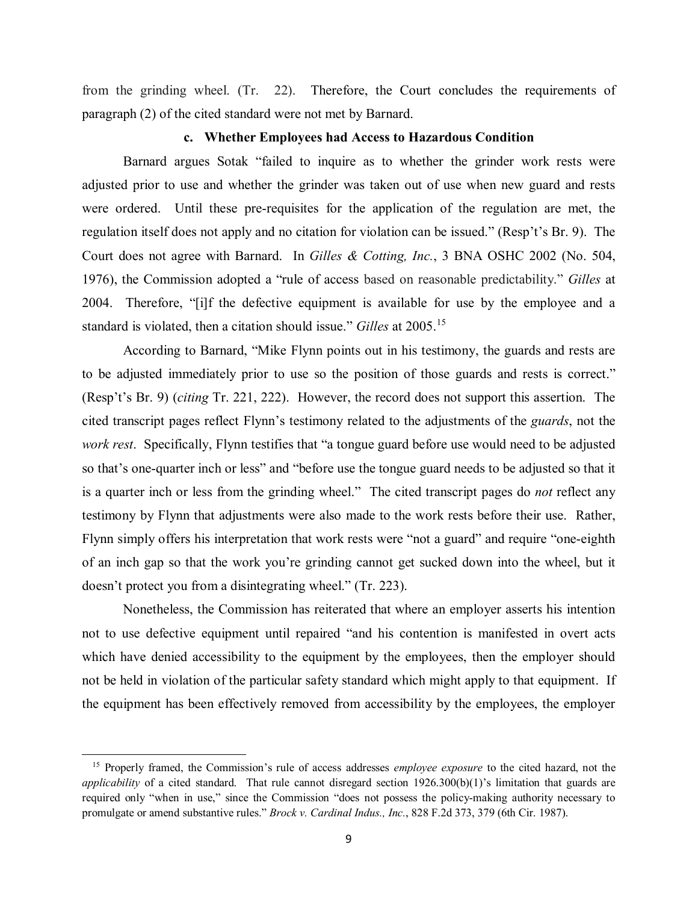from the grinding wheel. (Tr. 22). Therefore, the Court concludes the requirements of paragraph (2) of the cited standard were not met by Barnard.

## **c. Whether Employees had Access to Hazardous Condition**

Barnard argues Sotak "failed to inquire as to whether the grinder work rests were adjusted prior to use and whether the grinder was taken out of use when new guard and rests were ordered. Until these pre-requisites for the application of the regulation are met, the regulation itself does not apply and no citation for violation can be issued." (Resp't's Br. 9). The Court does not agree with Barnard. In *Gilles & Cotting, Inc.*, 3 BNA OSHC 2002 (No. 504, 1976), the Commission adopted a "rule of access based on reasonable predictability." *Gilles* at 2004. Therefore, "[i]f the defective equipment is available for use by the employee and a standard is violated, then a citation should issue." *Gilles* at 2005.[15](#page-8-0)

According to Barnard, "Mike Flynn points out in his testimony, the guards and rests are to be adjusted immediately prior to use so the position of those guards and rests is correct." (Resp't's Br. 9) (*citing* Tr. 221, 222). However, the record does not support this assertion. The cited transcript pages reflect Flynn's testimony related to the adjustments of the *guards*, not the *work rest*. Specifically, Flynn testifies that "a tongue guard before use would need to be adjusted so that's one-quarter inch or less" and "before use the tongue guard needs to be adjusted so that it is a quarter inch or less from the grinding wheel." The cited transcript pages do *not* reflect any testimony by Flynn that adjustments were also made to the work rests before their use. Rather, Flynn simply offers his interpretation that work rests were "not a guard" and require "one-eighth of an inch gap so that the work you're grinding cannot get sucked down into the wheel, but it doesn't protect you from a disintegrating wheel." (Tr. 223).

Nonetheless, the Commission has reiterated that where an employer asserts his intention not to use defective equipment until repaired "and his contention is manifested in overt acts which have denied accessibility to the equipment by the employees, then the employer should not be held in violation of the particular safety standard which might apply to that equipment. If the equipment has been effectively removed from accessibility by the employees, the employer

<span id="page-8-0"></span><sup>15</sup> Properly framed, the Commission's rule of access addresses *employee exposure* to the cited hazard, not the *applicability* of a cited standard. That rule cannot disregard section 1926.300(b)(1)'s limitation that guards are required only "when in use," since the Commission "does not possess the policy-making authority necessary to promulgate or amend substantive rules." *Brock v. Cardinal Indus., Inc.*, 828 F.2d 373, 379 (6th Cir. 1987).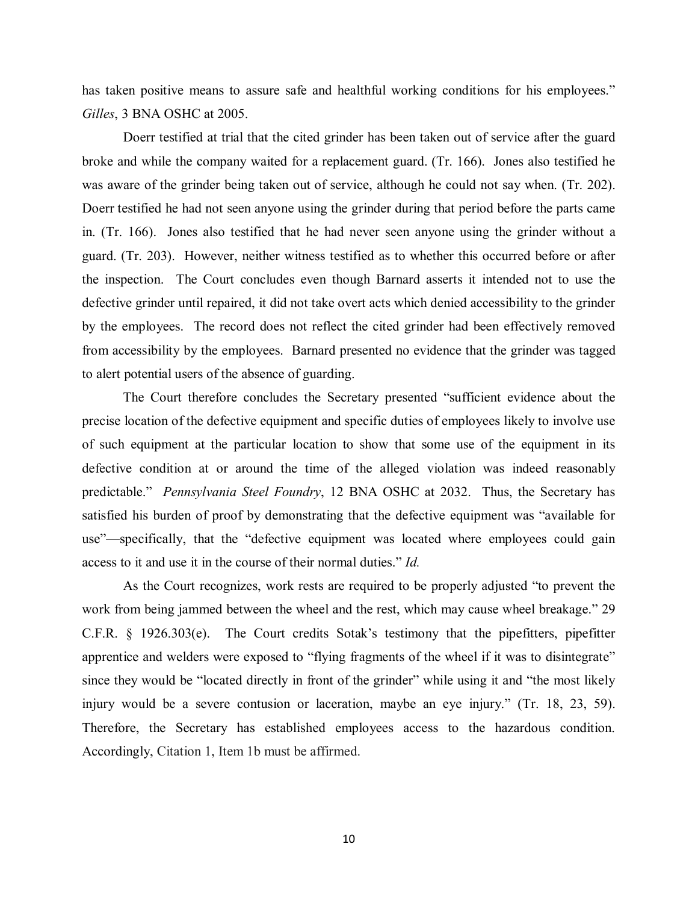has taken positive means to assure safe and healthful working conditions for his employees." *Gilles*, 3 BNA OSHC at 2005.

Doerr testified at trial that the cited grinder has been taken out of service after the guard broke and while the company waited for a replacement guard. (Tr. 166). Jones also testified he was aware of the grinder being taken out of service, although he could not say when. (Tr. 202). Doerr testified he had not seen anyone using the grinder during that period before the parts came in. (Tr. 166). Jones also testified that he had never seen anyone using the grinder without a guard. (Tr. 203). However, neither witness testified as to whether this occurred before or after the inspection. The Court concludes even though Barnard asserts it intended not to use the defective grinder until repaired, it did not take overt acts which denied accessibility to the grinder by the employees. The record does not reflect the cited grinder had been effectively removed from accessibility by the employees. Barnard presented no evidence that the grinder was tagged to alert potential users of the absence of guarding.

The Court therefore concludes the Secretary presented "sufficient evidence about the precise location of the defective equipment and specific duties of employees likely to involve use of such equipment at the particular location to show that some use of the equipment in its defective condition at or around the time of the alleged violation was indeed reasonably predictable." *Pennsylvania Steel Foundry*, 12 BNA OSHC at 2032. Thus, the Secretary has satisfied his burden of proof by demonstrating that the defective equipment was "available for use"—specifically, that the "defective equipment was located where employees could gain access to it and use it in the course of their normal duties." *Id.*

As the Court recognizes, work rests are required to be properly adjusted "to prevent the work from being jammed between the wheel and the rest, which may cause wheel breakage." 29 C.F.R. § 1926.303(e). The Court credits Sotak's testimony that the pipefitters, pipefitter apprentice and welders were exposed to "flying fragments of the wheel if it was to disintegrate" since they would be "located directly in front of the grinder" while using it and "the most likely injury would be a severe contusion or laceration, maybe an eye injury." (Tr. 18, 23, 59). Therefore, the Secretary has established employees access to the hazardous condition. Accordingly, Citation 1, Item 1b must be affirmed.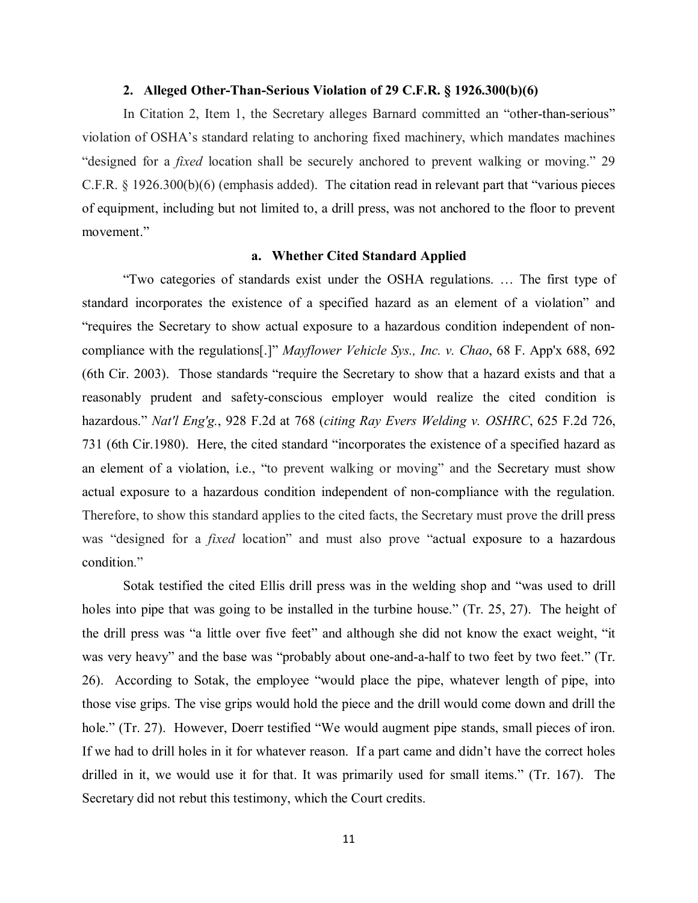#### **2. Alleged Other-Than-Serious Violation of 29 C.F.R. § 1926.300(b)(6)**

In Citation 2, Item 1, the Secretary alleges Barnard committed an "other-than-serious" violation of OSHA's standard relating to anchoring fixed machinery, which mandates machines "designed for a *fixed* location shall be securely anchored to prevent walking or moving." 29 C.F.R. § 1926.300(b)(6) (emphasis added). The citation read in relevant part that "various pieces of equipment, including but not limited to, a drill press, was not anchored to the floor to prevent movement."

### **a. Whether Cited Standard Applied**

"Two categories of standards exist under the OSHA regulations. … The first type of standard incorporates the existence of a specified hazard as an element of a violation" and "requires the Secretary to show actual exposure to a hazardous condition independent of noncompliance with the regulations[.]" *Mayflower Vehicle Sys., Inc. v. Chao*, 68 F. App'x 688, 692 (6th Cir. 2003). Those standards "require the Secretary to show that a hazard exists and that a reasonably prudent and safety-conscious employer would realize the cited condition is hazardous." *Nat'l Eng'g.*, 928 F.2d at 768 (*citing Ray Evers Welding v. OSHRC*, 625 F.2d 726, 731 (6th Cir.1980). Here, the cited standard "incorporates the existence of a specified hazard as an element of a violation, i.e., "to prevent walking or moving" and the Secretary must show actual exposure to a hazardous condition independent of non-compliance with the regulation. Therefore, to show this standard applies to the cited facts, the Secretary must prove the drill press was "designed for a *fixed* location" and must also prove "actual exposure to a hazardous condition."

Sotak testified the cited Ellis drill press was in the welding shop and "was used to drill holes into pipe that was going to be installed in the turbine house." (Tr. 25, 27). The height of the drill press was "a little over five feet" and although she did not know the exact weight, "it was very heavy" and the base was "probably about one-and-a-half to two feet by two feet." (Tr. 26). According to Sotak, the employee "would place the pipe, whatever length of pipe, into those vise grips. The vise grips would hold the piece and the drill would come down and drill the hole." (Tr. 27). However, Doerr testified "We would augment pipe stands, small pieces of iron. If we had to drill holes in it for whatever reason. If a part came and didn't have the correct holes drilled in it, we would use it for that. It was primarily used for small items." (Tr. 167). The Secretary did not rebut this testimony, which the Court credits.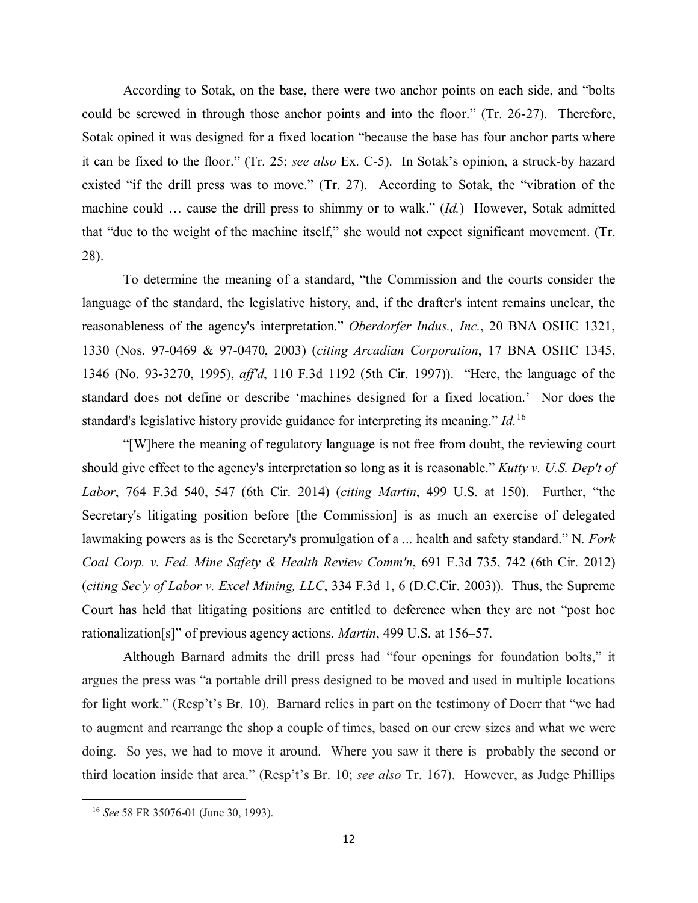According to Sotak, on the base, there were two anchor points on each side, and "bolts could be screwed in through those anchor points and into the floor." (Tr. 26-27). Therefore, Sotak opined it was designed for a fixed location "because the base has four anchor parts where it can be fixed to the floor." (Tr. 25; *see also* Ex. C-5). In Sotak's opinion, a struck-by hazard existed "if the drill press was to move." (Tr. 27). According to Sotak, the "vibration of the machine could … cause the drill press to shimmy or to walk." (*Id.*) However, Sotak admitted that "due to the weight of the machine itself," she would not expect significant movement. (Tr. 28).

To determine the meaning of a standard, "the Commission and the courts consider the language of the standard, the legislative history, and, if the drafter's intent remains unclear, the reasonableness of the agency's interpretation." *Oberdorfer Indus., Inc.*, 20 BNA OSHC 1321, 1330 (Nos. 97-0469 & 97-0470, 2003) (*citing Arcadian Corporation*, 17 BNA OSHC 1345, 1346 (No. 93-3270, 1995), *aff'd*, 110 F.3d 1192 (5th Cir. 1997)). "Here, the language of the standard does not define or describe 'machines designed for a fixed location.' Nor does the standard's legislative history provide guidance for interpreting its meaning." *Id.*[16](#page-11-0) 

"[W]here the meaning of regulatory language is not free from doubt, the reviewing court should give effect to the agency's interpretation so long as it is reasonable." *Kutty v. U.S. Dep't of Labor*, 764 F.3d 540, 547 (6th Cir. 2014) (*citing Martin*, 499 U.S. at 150). Further, "the Secretary's litigating position before [the Commission] is as much an exercise of delegated lawmaking powers as is the Secretary's promulgation of a ... health and safety standard." N*. Fork Coal Corp. v. Fed. Mine Safety & Health Review Comm'n*, 691 F.3d 735, 742 (6th Cir. 2012) (*citing Sec'y of Labor v. Excel Mining, LLC*, 334 F.3d 1, 6 (D.C.Cir. 2003)). Thus, the Supreme Court has held that litigating positions are entitled to deference when they are not "post hoc rationalization[s]" of previous agency actions. *Martin*, 499 U.S. at 156–57.

Although Barnard admits the drill press had "four openings for foundation bolts," it argues the press was "a portable drill press designed to be moved and used in multiple locations for light work." (Resp't's Br. 10). Barnard relies in part on the testimony of Doerr that "we had to augment and rearrange the shop a couple of times, based on our crew sizes and what we were doing. So yes, we had to move it around. Where you saw it there is probably the second or third location inside that area." (Resp't's Br. 10; *see also* Tr. 167). However, as Judge Phillips

<span id="page-11-0"></span><sup>16</sup> *See* 58 FR 35076-01 (June 30, 1993).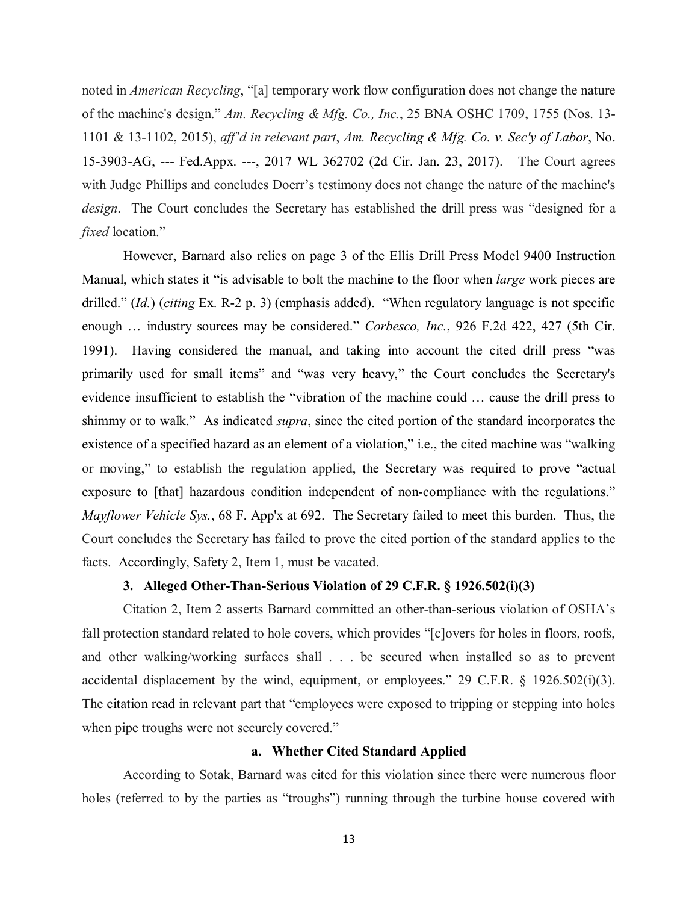noted in *American Recycling*, "[a] temporary work flow configuration does not change the nature of the machine's design." *Am. Recycling & Mfg. Co., Inc.*, 25 BNA OSHC 1709, 1755 (Nos. 13- 1101 & 13-1102, 2015), *aff'd in relevant part*, *Am. Recycling & Mfg. Co. v. Sec'y of Labor*, No. 15-3903-AG, --- Fed.Appx. ---, 2017 WL 362702 (2d Cir. Jan. 23, 2017). The Court agrees with Judge Phillips and concludes Doerr's testimony does not change the nature of the machine's *design*. The Court concludes the Secretary has established the drill press was "designed for a *fixed* location."

However, Barnard also relies on page 3 of the Ellis Drill Press Model 9400 Instruction Manual, which states it "is advisable to bolt the machine to the floor when *large* work pieces are drilled." (*Id.*) (*citing* Ex. R-2 p. 3) (emphasis added). "When regulatory language is not specific enough … industry sources may be considered." *Corbesco, Inc.*, 926 F.2d 422, 427 (5th Cir. 1991). Having considered the manual, and taking into account the cited drill press "was primarily used for small items" and "was very heavy," the Court concludes the Secretary's evidence insufficient to establish the "vibration of the machine could … cause the drill press to shimmy or to walk." As indicated *supra*, since the cited portion of the standard incorporates the existence of a specified hazard as an element of a violation," i.e., the cited machine was "walking or moving," to establish the regulation applied, the Secretary was required to prove "actual exposure to [that] hazardous condition independent of non-compliance with the regulations." *Mayflower Vehicle Sys.*, 68 F. App'x at 692. The Secretary failed to meet this burden. Thus, the Court concludes the Secretary has failed to prove the cited portion of the standard applies to the facts. Accordingly, Safety 2, Item 1, must be vacated.

## **3. Alleged Other-Than-Serious Violation of 29 C.F.R. § 1926.502(i)(3)**

Citation 2, Item 2 asserts Barnard committed an other-than-serious violation of OSHA's fall protection standard related to hole covers, which provides "[c]overs for holes in floors, roofs, and other walking/working surfaces shall . . . be secured when installed so as to prevent accidental displacement by the wind, equipment, or employees." 29 C.F.R. § 1926.502(i)(3). The citation read in relevant part that "employees were exposed to tripping or stepping into holes when pipe troughs were not securely covered."

### **a. Whether Cited Standard Applied**

According to Sotak, Barnard was cited for this violation since there were numerous floor holes (referred to by the parties as "troughs") running through the turbine house covered with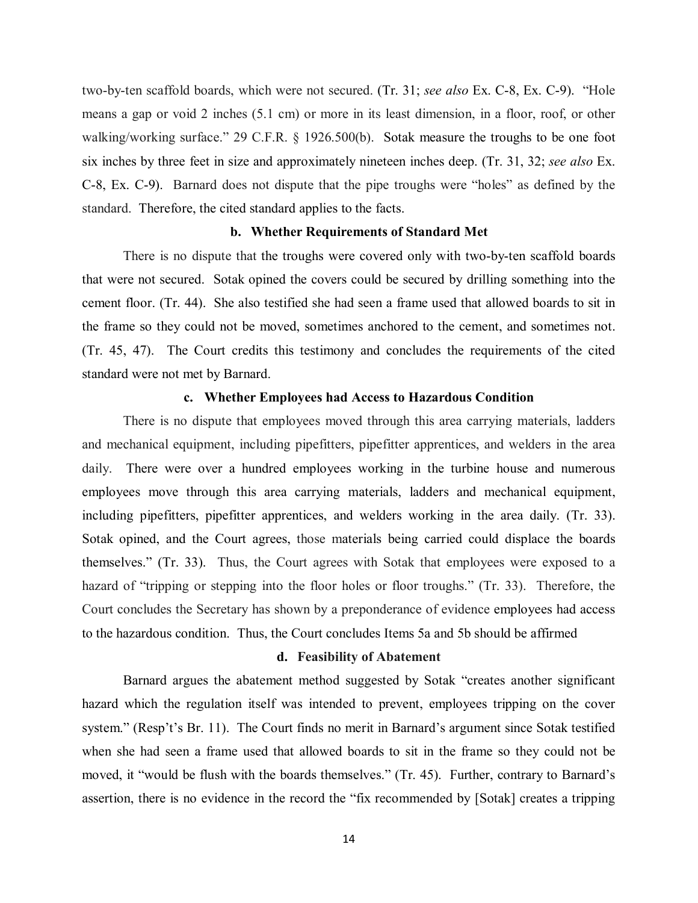two-by-ten scaffold boards, which were not secured. (Tr. 31; *see also* Ex. C-8, Ex. C-9). "Hole means a gap or void 2 inches (5.1 cm) or more in its least dimension, in a floor, roof, or other walking/working surface." 29 C.F.R. § 1926.500(b). Sotak measure the troughs to be one foot six inches by three feet in size and approximately nineteen inches deep. (Tr. 31, 32; *see also* Ex. C-8, Ex. C-9). Barnard does not dispute that the pipe troughs were "holes" as defined by the standard. Therefore, the cited standard applies to the facts.

### **b. Whether Requirements of Standard Met**

There is no dispute that the troughs were covered only with two-by-ten scaffold boards that were not secured. Sotak opined the covers could be secured by drilling something into the cement floor. (Tr. 44). She also testified she had seen a frame used that allowed boards to sit in the frame so they could not be moved, sometimes anchored to the cement, and sometimes not. (Tr. 45, 47). The Court credits this testimony and concludes the requirements of the cited standard were not met by Barnard.

# **c. Whether Employees had Access to Hazardous Condition**

There is no dispute that employees moved through this area carrying materials, ladders and mechanical equipment, including pipefitters, pipefitter apprentices, and welders in the area daily. There were over a hundred employees working in the turbine house and numerous employees move through this area carrying materials, ladders and mechanical equipment, including pipefitters, pipefitter apprentices, and welders working in the area daily. (Tr. 33). Sotak opined, and the Court agrees, those materials being carried could displace the boards themselves." (Tr. 33). Thus, the Court agrees with Sotak that employees were exposed to a hazard of "tripping or stepping into the floor holes or floor troughs." (Tr. 33). Therefore, the Court concludes the Secretary has shown by a preponderance of evidence employees had access to the hazardous condition. Thus, the Court concludes Items 5a and 5b should be affirmed

#### **d. Feasibility of Abatement**

Barnard argues the abatement method suggested by Sotak "creates another significant hazard which the regulation itself was intended to prevent, employees tripping on the cover system." (Resp't's Br. 11). The Court finds no merit in Barnard's argument since Sotak testified when she had seen a frame used that allowed boards to sit in the frame so they could not be moved, it "would be flush with the boards themselves." (Tr. 45). Further, contrary to Barnard's assertion, there is no evidence in the record the "fix recommended by [Sotak] creates a tripping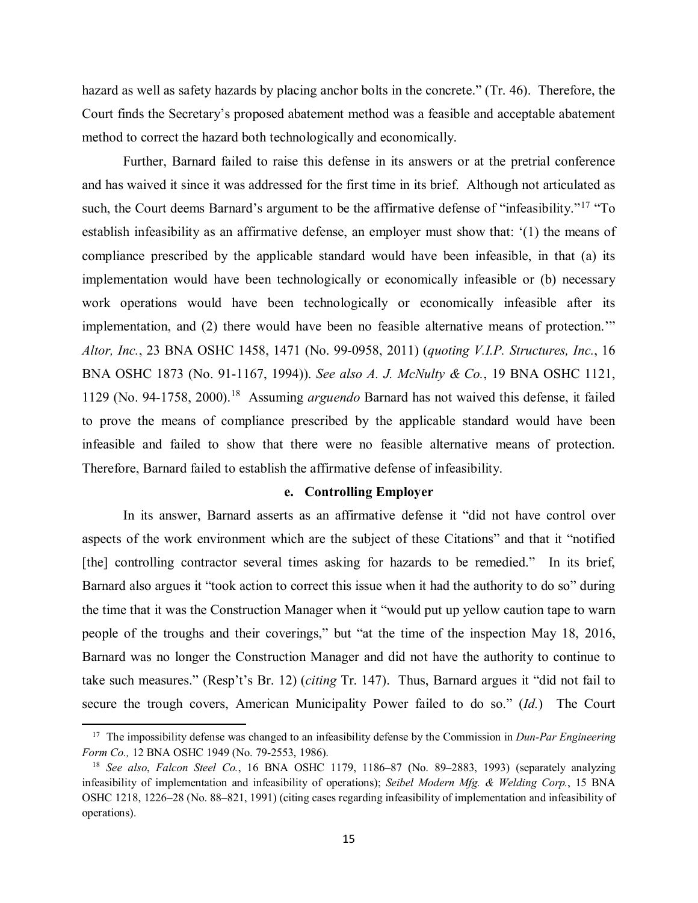hazard as well as safety hazards by placing anchor bolts in the concrete." (Tr. 46). Therefore, the Court finds the Secretary's proposed abatement method was a feasible and acceptable abatement method to correct the hazard both technologically and economically.

Further, Barnard failed to raise this defense in its answers or at the pretrial conference and has waived it since it was addressed for the first time in its brief. Although not articulated as such, the Court deems Barnard's argument to be the affirmative defense of "infeasibility."<sup>17</sup> "To establish infeasibility as an affirmative defense, an employer must show that: '(1) the means of compliance prescribed by the applicable standard would have been infeasible, in that (a) its implementation would have been technologically or economically infeasible or (b) necessary work operations would have been technologically or economically infeasible after its implementation, and (2) there would have been no feasible alternative means of protection.'" *Altor, Inc.*, 23 BNA OSHC 1458, 1471 (No. 99-0958, 2011) (*quoting V.I.P. Structures, Inc.*, 16 BNA OSHC 1873 (No. 91-1167, 1994)). *See also A. J. McNulty & Co.*, 19 BNA OSHC 1121, 1129 (No. 94-1758, 2000).[18](#page-14-1) Assuming *arguendo* Barnard has not waived this defense, it failed to prove the means of compliance prescribed by the applicable standard would have been infeasible and failed to show that there were no feasible alternative means of protection. Therefore, Barnard failed to establish the affirmative defense of infeasibility.

## **e. Controlling Employer**

In its answer, Barnard asserts as an affirmative defense it "did not have control over aspects of the work environment which are the subject of these Citations" and that it "notified [the] controlling contractor several times asking for hazards to be remedied." In its brief, Barnard also argues it "took action to correct this issue when it had the authority to do so" during the time that it was the Construction Manager when it "would put up yellow caution tape to warn people of the troughs and their coverings," but "at the time of the inspection May 18, 2016, Barnard was no longer the Construction Manager and did not have the authority to continue to take such measures." (Resp't's Br. 12) (*citing* Tr. 147). Thus, Barnard argues it "did not fail to secure the trough covers, American Municipality Power failed to do so." (*Id.*) The Court

<span id="page-14-0"></span><sup>17</sup> The impossibility defense was changed to an infeasibility defense by the Commission in *Dun-Par Engineering Form Co.,* 12 BNA OSHC 1949 (No. 79-2553, 1986).

<span id="page-14-1"></span><sup>18</sup> *See also*, *Falcon Steel Co.*, 16 BNA OSHC 1179, 1186–87 (No. 89–2883, 1993) (separately analyzing infeasibility of implementation and infeasibility of operations); *Seibel Modern Mfg. & Welding Corp.*, 15 BNA OSHC 1218, 1226–28 (No. 88–821, 1991) (citing cases regarding infeasibility of implementation and infeasibility of operations).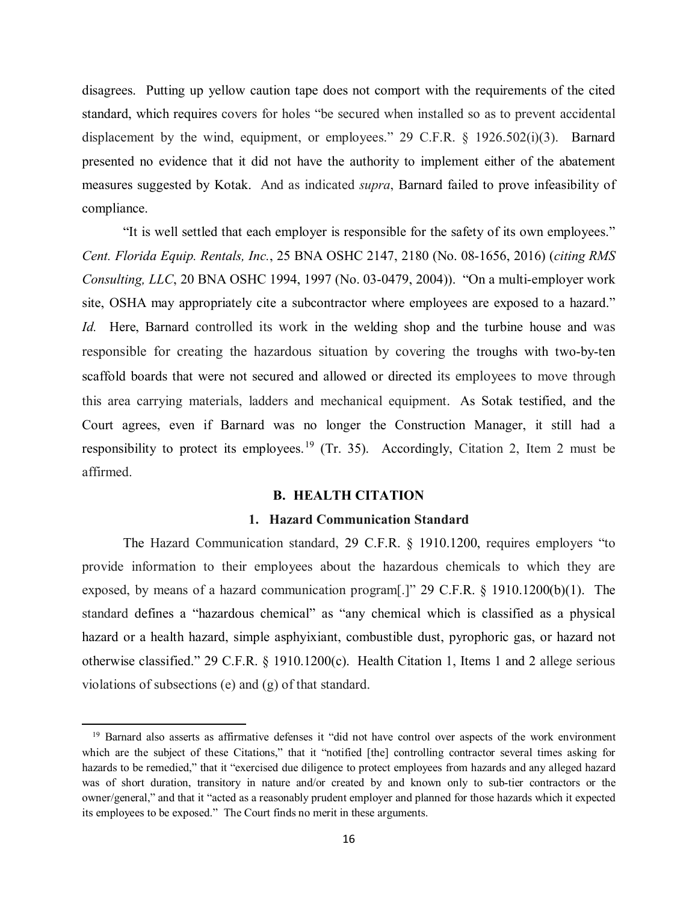disagrees. Putting up yellow caution tape does not comport with the requirements of the cited standard, which requires covers for holes "be secured when installed so as to prevent accidental displacement by the wind, equipment, or employees." 29 C.F.R. § 1926.502(i)(3). Barnard presented no evidence that it did not have the authority to implement either of the abatement measures suggested by Kotak. And as indicated *supra*, Barnard failed to prove infeasibility of compliance.

"It is well settled that each employer is responsible for the safety of its own employees." *Cent. Florida Equip. Rentals, Inc.*, 25 BNA OSHC 2147, 2180 (No. 08-1656, 2016) (*citing RMS Consulting, LLC*, 20 BNA OSHC 1994, 1997 (No. 03-0479, 2004)). "On a multi-employer work site, OSHA may appropriately cite a subcontractor where employees are exposed to a hazard." *Id.* Here, Barnard controlled its work in the welding shop and the turbine house and was responsible for creating the hazardous situation by covering the troughs with two-by-ten scaffold boards that were not secured and allowed or directed its employees to move through this area carrying materials, ladders and mechanical equipment. As Sotak testified, and the Court agrees, even if Barnard was no longer the Construction Manager, it still had a responsibility to protect its employees.<sup>[19](#page-15-0)</sup> (Tr. 35). Accordingly, Citation 2, Item 2 must be affirmed.

## **B. HEALTH CITATION**

### **1. Hazard Communication Standard**

The Hazard Communication standard, 29 C.F.R. § 1910.1200, requires employers "to provide information to their employees about the hazardous chemicals to which they are exposed, by means of a hazard communication program[.]" 29 C.F.R. § 1910.1200(b)(1). The standard defines a "hazardous chemical" as "any chemical which is classified as a physical hazard or a health hazard, simple asphyixiant, combustible dust, pyrophoric gas, or hazard not otherwise classified." 29 C.F.R. § 1910.1200(c). Health Citation 1, Items 1 and 2 allege serious violations of subsections (e) and (g) of that standard.

<span id="page-15-0"></span><sup>19</sup> Barnard also asserts as affirmative defenses it "did not have control over aspects of the work environment which are the subject of these Citations," that it "notified [the] controlling contractor several times asking for hazards to be remedied," that it "exercised due diligence to protect employees from hazards and any alleged hazard was of short duration, transitory in nature and/or created by and known only to sub-tier contractors or the owner/general," and that it "acted as a reasonably prudent employer and planned for those hazards which it expected its employees to be exposed." The Court finds no merit in these arguments.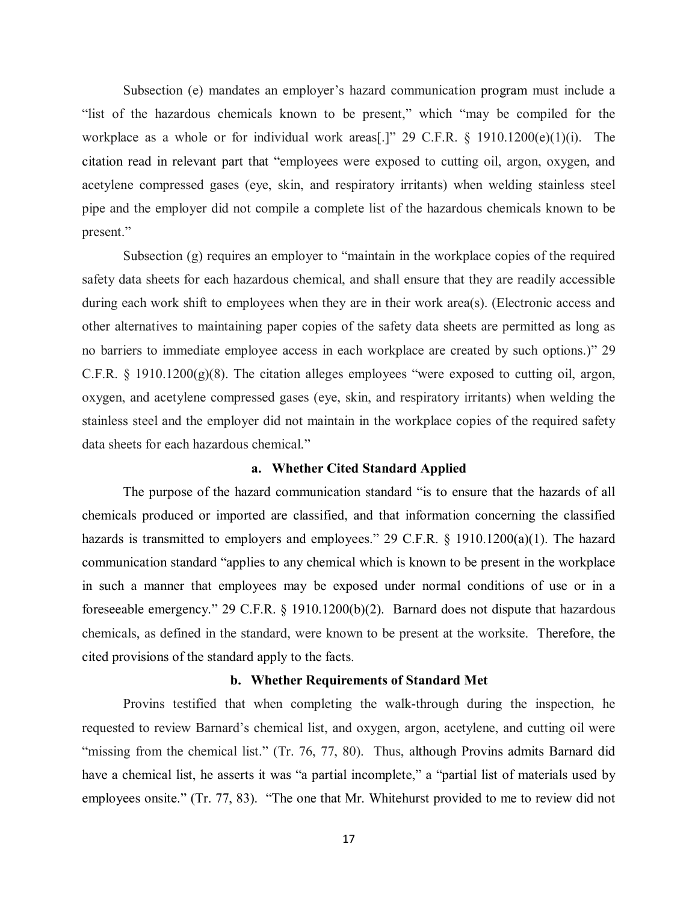Subsection (e) mandates an employer's hazard communication program must include a "list of the hazardous chemicals known to be present," which "may be compiled for the workplace as a whole or for individual work areas[.]" 29 C.F.R. § 1910.1200(e)(1)(i). The citation read in relevant part that "employees were exposed to cutting oil, argon, oxygen, and acetylene compressed gases (eye, skin, and respiratory irritants) when welding stainless steel pipe and the employer did not compile a complete list of the hazardous chemicals known to be present."

Subsection (g) requires an employer to "maintain in the workplace copies of the required safety data sheets for each hazardous chemical, and shall ensure that they are readily accessible during each work shift to employees when they are in their work area(s). (Electronic access and other alternatives to maintaining paper copies of the safety data sheets are permitted as long as no barriers to immediate employee access in each workplace are created by such options.)" 29 C.F.R. § 1910.1200(g)(8). The citation alleges employees "were exposed to cutting oil, argon, oxygen, and acetylene compressed gases (eye, skin, and respiratory irritants) when welding the stainless steel and the employer did not maintain in the workplace copies of the required safety data sheets for each hazardous chemical."

### **a. Whether Cited Standard Applied**

The purpose of the hazard communication standard "is to ensure that the hazards of all chemicals produced or imported are classified, and that information concerning the classified hazards is transmitted to employers and employees." 29 C.F.R. § 1910.1200(a)(1). The hazard communication standard "applies to any chemical which is known to be present in the workplace in such a manner that employees may be exposed under normal conditions of use or in a foreseeable emergency." 29 C.F.R. § 1910.1200(b)(2). Barnard does not dispute that hazardous chemicals, as defined in the standard, were known to be present at the worksite. Therefore, the cited provisions of the standard apply to the facts.

### **b. Whether Requirements of Standard Met**

Provins testified that when completing the walk-through during the inspection, he requested to review Barnard's chemical list, and oxygen, argon, acetylene, and cutting oil were "missing from the chemical list." (Tr. 76, 77, 80). Thus, although Provins admits Barnard did have a chemical list, he asserts it was "a partial incomplete," a "partial list of materials used by employees onsite." (Tr. 77, 83). "The one that Mr. Whitehurst provided to me to review did not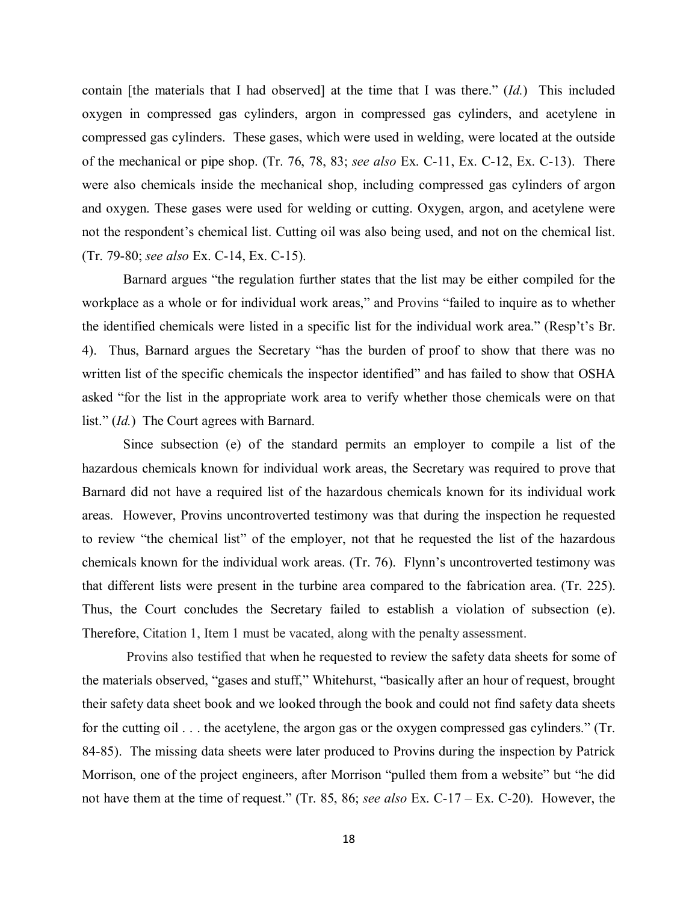contain [the materials that I had observed] at the time that I was there." (*Id.*) This included oxygen in compressed gas cylinders, argon in compressed gas cylinders, and acetylene in compressed gas cylinders. These gases, which were used in welding, were located at the outside of the mechanical or pipe shop. (Tr. 76, 78, 83; *see also* Ex. C-11, Ex. C-12, Ex. C-13). There were also chemicals inside the mechanical shop, including compressed gas cylinders of argon and oxygen. These gases were used for welding or cutting. Oxygen, argon, and acetylene were not the respondent's chemical list. Cutting oil was also being used, and not on the chemical list. (Tr. 79-80; *see also* Ex. C-14, Ex. C-15).

Barnard argues "the regulation further states that the list may be either compiled for the workplace as a whole or for individual work areas," and Provins "failed to inquire as to whether the identified chemicals were listed in a specific list for the individual work area." (Resp't's Br. 4). Thus, Barnard argues the Secretary "has the burden of proof to show that there was no written list of the specific chemicals the inspector identified" and has failed to show that OSHA asked "for the list in the appropriate work area to verify whether those chemicals were on that list." (*Id.*) The Court agrees with Barnard.

Since subsection (e) of the standard permits an employer to compile a list of the hazardous chemicals known for individual work areas, the Secretary was required to prove that Barnard did not have a required list of the hazardous chemicals known for its individual work areas. However, Provins uncontroverted testimony was that during the inspection he requested to review "the chemical list" of the employer, not that he requested the list of the hazardous chemicals known for the individual work areas. (Tr. 76). Flynn's uncontroverted testimony was that different lists were present in the turbine area compared to the fabrication area. (Tr. 225). Thus, the Court concludes the Secretary failed to establish a violation of subsection (e). Therefore, Citation 1, Item 1 must be vacated, along with the penalty assessment.

 Provins also testified that when he requested to review the safety data sheets for some of the materials observed, "gases and stuff," Whitehurst, "basically after an hour of request, brought their safety data sheet book and we looked through the book and could not find safety data sheets for the cutting oil . . . the acetylene, the argon gas or the oxygen compressed gas cylinders." (Tr. 84-85). The missing data sheets were later produced to Provins during the inspection by Patrick Morrison, one of the project engineers, after Morrison "pulled them from a website" but "he did not have them at the time of request." (Tr. 85, 86; *see also* Ex. C-17 – Ex. C-20). However, the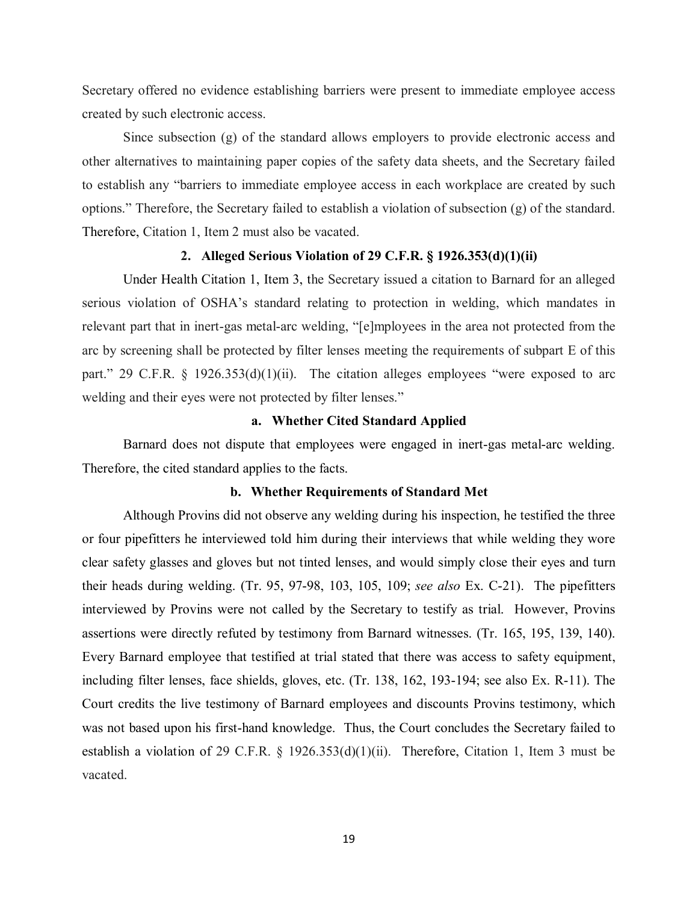Secretary offered no evidence establishing barriers were present to immediate employee access created by such electronic access.

Since subsection (g) of the standard allows employers to provide electronic access and other alternatives to maintaining paper copies of the safety data sheets, and the Secretary failed to establish any "barriers to immediate employee access in each workplace are created by such options." Therefore, the Secretary failed to establish a violation of subsection (g) of the standard. Therefore, Citation 1, Item 2 must also be vacated.

#### **2. Alleged Serious Violation of 29 C.F.R. § 1926.353(d)(1)(ii)**

Under Health Citation 1, Item 3, the Secretary issued a citation to Barnard for an alleged serious violation of OSHA's standard relating to protection in welding, which mandates in relevant part that in inert-gas metal-arc welding, "[e]mployees in the area not protected from the arc by screening shall be protected by filter lenses meeting the requirements of subpart E of this part." 29 C.F.R. § 1926.353(d)(1)(ii). The citation alleges employees "were exposed to arc welding and their eyes were not protected by filter lenses."

### **a. Whether Cited Standard Applied**

Barnard does not dispute that employees were engaged in inert-gas metal-arc welding. Therefore, the cited standard applies to the facts.

### **b. Whether Requirements of Standard Met**

Although Provins did not observe any welding during his inspection, he testified the three or four pipefitters he interviewed told him during their interviews that while welding they wore clear safety glasses and gloves but not tinted lenses, and would simply close their eyes and turn their heads during welding. (Tr. 95, 97-98, 103, 105, 109; *see also* Ex. C-21). The pipefitters interviewed by Provins were not called by the Secretary to testify as trial. However, Provins assertions were directly refuted by testimony from Barnard witnesses. (Tr. 165, 195, 139, 140). Every Barnard employee that testified at trial stated that there was access to safety equipment, including filter lenses, face shields, gloves, etc. (Tr. 138, 162, 193-194; see also Ex. R-11). The Court credits the live testimony of Barnard employees and discounts Provins testimony, which was not based upon his first-hand knowledge. Thus, the Court concludes the Secretary failed to establish a violation of 29 C.F.R. § 1926.353(d)(1)(ii). Therefore, Citation 1, Item 3 must be vacated.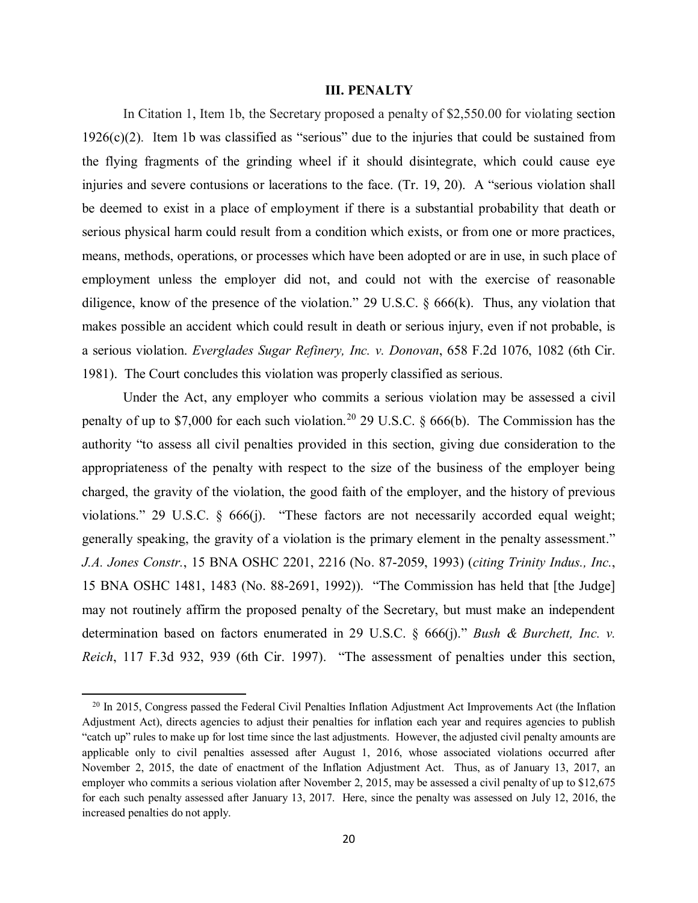## **III. PENALTY**

In Citation 1, Item 1b, the Secretary proposed a penalty of \$2,550.00 for violating section  $1926(c)(2)$ . Item 1b was classified as "serious" due to the injuries that could be sustained from the flying fragments of the grinding wheel if it should disintegrate, which could cause eye injuries and severe contusions or lacerations to the face. (Tr. 19, 20). A "serious violation shall be deemed to exist in a place of employment if there is a substantial probability that death or serious physical harm could result from a condition which exists, or from one or more practices, means, methods, operations, or processes which have been adopted or are in use, in such place of employment unless the employer did not, and could not with the exercise of reasonable diligence, know of the presence of the violation." 29 U.S.C. § 666(k). Thus, any violation that makes possible an accident which could result in death or serious injury, even if not probable, is a serious violation. *Everglades Sugar Refinery, Inc. v. Donovan*, 658 F.2d 1076, 1082 (6th Cir. 1981). The Court concludes this violation was properly classified as serious.

Under the Act, any employer who commits a serious violation may be assessed a civil penalty of up to \$7,000 for each such violation.<sup>[20](#page-19-0)</sup> 29 U.S.C.  $\delta$  666(b). The Commission has the authority "to assess all civil penalties provided in this section, giving due consideration to the appropriateness of the penalty with respect to the size of the business of the employer being charged, the gravity of the violation, the good faith of the employer, and the history of previous violations." 29 U.S.C. § 666(j). "These factors are not necessarily accorded equal weight; generally speaking, the gravity of a violation is the primary element in the penalty assessment." *J.A. Jones Constr.*, 15 BNA OSHC 2201, 2216 (No. 87-2059, 1993) (*citing Trinity Indus., Inc.*, 15 BNA OSHC 1481, 1483 (No. 88-2691, 1992)). "The Commission has held that [the Judge] may not routinely affirm the proposed penalty of the Secretary, but must make an independent determination based on factors enumerated in 29 U.S.C. § 666(j)." *Bush & Burchett, Inc. v. Reich*, 117 F.3d 932, 939 (6th Cir. 1997). "The assessment of penalties under this section,

<span id="page-19-0"></span> $^{20}$  In 2015, Congress passed the Federal Civil Penalties Inflation Adjustment Act Improvements Act (the Inflation Adjustment Act), directs agencies to adjust their penalties for inflation each year and requires agencies to publish "catch up" rules to make up for lost time since the last adjustments. However, the adjusted civil penalty amounts are applicable only to civil penalties assessed after August 1, 2016, whose associated violations occurred after November 2, 2015, the date of enactment of the Inflation Adjustment Act. Thus, as of January 13, 2017, an employer who commits a serious violation after November 2, 2015, may be assessed a civil penalty of up to \$12,675 for each such penalty assessed after January 13, 2017. Here, since the penalty was assessed on July 12, 2016, the increased penalties do not apply.